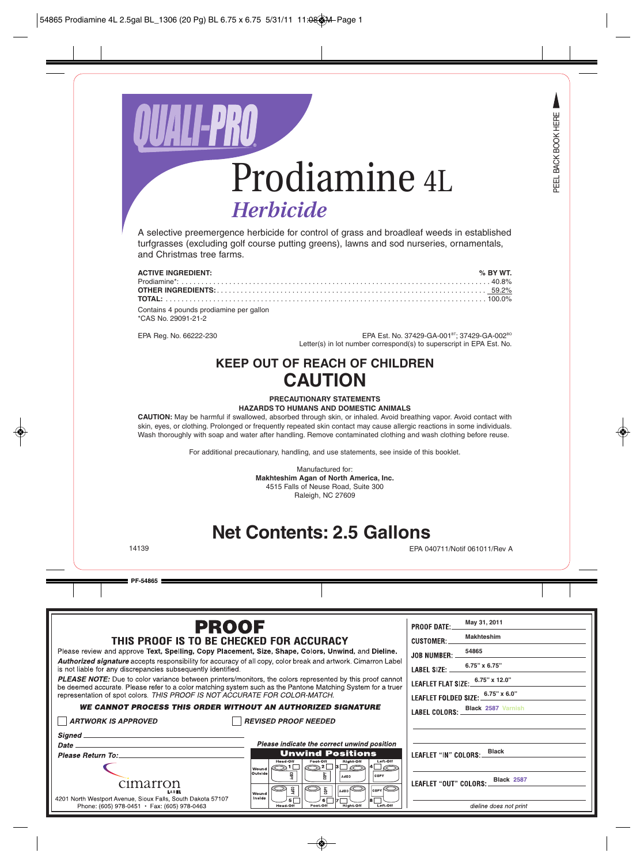

A selective preemergence herbicide for control of grass and broadleaf weeds in established turfgrasses (excluding golf course putting greens), lawns and sod nurseries, ornamentals, and Christmas tree farms.

| <b>ACTIVE INGREDIENT:</b>               | % BY WT. |
|-----------------------------------------|----------|
|                                         |          |
|                                         |          |
|                                         |          |
| Contains 4 pounds prodiamine per gallon |          |
| *CAS No. 29091-21-2                     |          |

EPA Reg. No. 66222-230 **EPA Est. No. 37429-GA-001<sup>BT</sup>; 37429-GA-002<sup>BO</sup>** Letter(s) in lot number correspond(s) to superscript in EPA Est. No.

## **KEEP OUT OF REACH OF CHILDREN CAUTION**

### **PRECAUTIONARY STATEMENTS HAZARDS TO HUMANS AND DOMESTIC ANIMALS**

**CAUTION:** May be harmful if swallowed, absorbed through skin, or inhaled. Avoid breathing vapor. Avoid contact with skin, eyes, or clothing. Prolonged or frequently repeated skin contact may cause allergic reactions in some individuals. Wash thoroughly with soap and water after handling. Remove contaminated clothing and wash clothing before reuse.

For additional precautionary, handling, and use statements, see inside of this booklet.

Manufactured for: **Makhteshim Agan of North America, Inc.** 4515 Falls of Neuse Road, Suite 300 Raleigh, NC 27609

## **Net Contents: 2.5 Gallons**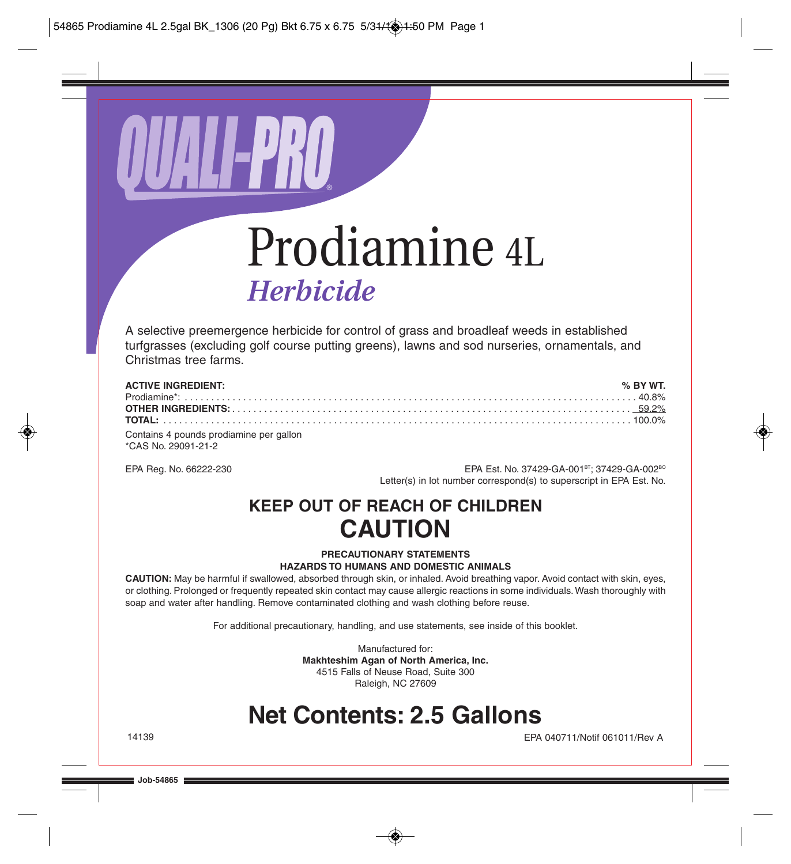

# Prodiamine 4L *Herbicide*

A selective preemergence herbicide for control of grass and broadleaf weeds in established turfgrasses (excluding golf course putting greens), lawns and sod nurseries, ornamentals, and Christmas tree farms.

| <b>ACTIVE INGREDIENT:</b>               | $\%$ BY WT. |
|-----------------------------------------|-------------|
|                                         |             |
|                                         |             |
|                                         |             |
| Contains 4 pounds prodiamine per gallon |             |
| *CAS No. 29091-21-2                     |             |

EPA Reg. No. 66222-230 EPA Est. No. 37429-GA-001<sup>BT</sup>; 37429-GA-002<sup>BO</sup> Letter(s) in lot number correspond(s) to superscript in EPA Est. No.

## **KEEP OUT OF REACH OF CHILDREN CAUTION**

### **PRECAUTIONARY STATEMENTS HAZARDS TO HUMANS AND DOMESTIC ANIMALS**

**CAUTION:** May be harmful if swallowed, absorbed through skin, or inhaled. Avoid breathing vapor. Avoid contact with skin, eyes, or clothing. Prolonged or frequently repeated skin contact may cause allergic reactions in some individuals. Wash thoroughly with soap and water after handling. Remove contaminated clothing and wash clothing before reuse.

For additional precautionary, handling, and use statements, see inside of this booklet.

Manufactured for: **Makhteshim Agan of North America, Inc.** 4515 Falls of Neuse Road, Suite 300 Raleigh, NC 27609

## **Net Contents: 2.5 Gallons**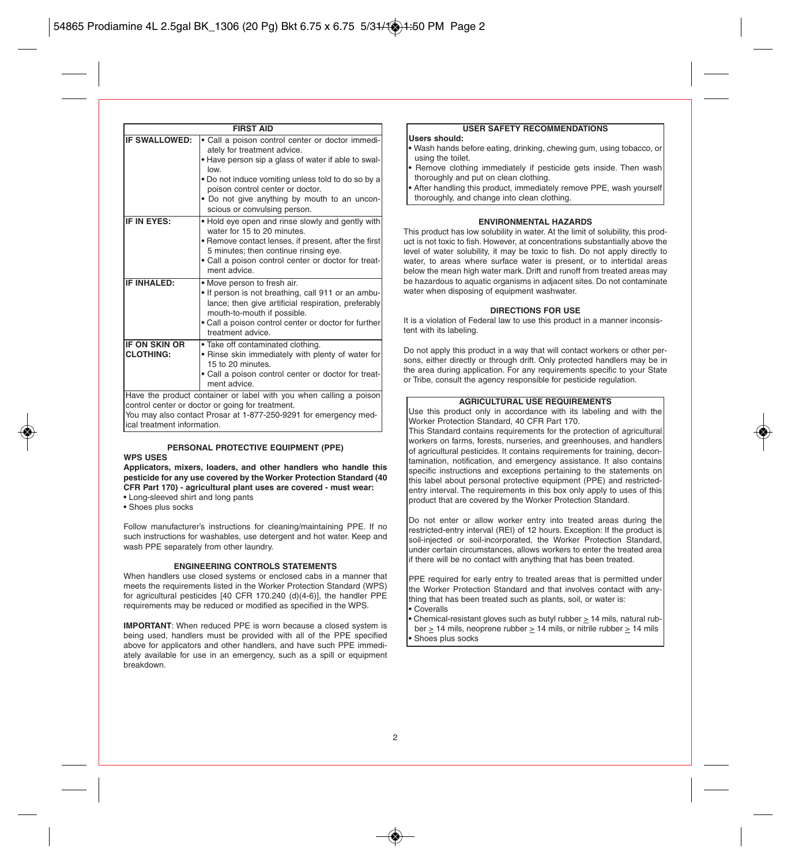|                                                                                                                                                                                                                           | <b>FIRST AID</b>                                                                                                                                                                                                                                                                                                         |  |
|---------------------------------------------------------------------------------------------------------------------------------------------------------------------------------------------------------------------------|--------------------------------------------------------------------------------------------------------------------------------------------------------------------------------------------------------------------------------------------------------------------------------------------------------------------------|--|
| IF SWALLOWED:                                                                                                                                                                                                             | · Call a poison control center or doctor immedi-<br>ately for treatment advice.<br>. Have person sip a glass of water if able to swal-<br>low.<br>. Do not induce vomiting unless told to do so by a<br>poison control center or doctor.<br>. Do not give anything by mouth to an uncon-<br>scious or convulsing person. |  |
| IF IN EYES:                                                                                                                                                                                                               | • Hold eye open and rinse slowly and gently with<br>water for 15 to 20 minutes.<br>• Remove contact lenses, if present, after the first<br>5 minutes; then continue rinsing eye.<br>. Call a poison control center or doctor for treat-<br>ment advice.                                                                  |  |
| <b>IF INHALED:</b>                                                                                                                                                                                                        | • Move person to fresh air.<br>. If person is not breathing, call 911 or an ambu-<br>lance; then give artificial respiration, preferably<br>mouth-to-mouth if possible.<br>• Call a poison control center or doctor for further<br>treatment advice.                                                                     |  |
| <b>IF ON SKIN OR</b><br><b>CLOTHING:</b>                                                                                                                                                                                  | · Take off contaminated clothing.<br>. Rinse skin immediately with plenty of water for<br>15 to 20 minutes.<br>• Call a poison control center or doctor for treat-<br>ment advice.                                                                                                                                       |  |
| Have the product container or label with you when calling a poison<br>control center or doctor or going for treatment.<br>You may also contact Prosar at 1-877-250-9291 for emergency med-<br>ical treatment information. |                                                                                                                                                                                                                                                                                                                          |  |

### **PERSONAL PROTECTIVE EQUIPMENT (PPE)**

### **WPS USES**

**Applicators, mixers, loaders, and other handlers who handle this pesticide for any use covered by the Worker Protection Standard (40 CFR Part 170) - agricultural plant uses are covered - must wear:** 

- Long-sleeved shirt and long pants
- Shoes plus socks

Follow manufacturer's instructions for cleaning/maintaining PPE. If no such instructions for washables, use detergent and hot water. Keep and wash PPE separately from other laundry.

#### **ENGINEERING CONTROLS STATEMENTS**

When handlers use closed systems or enclosed cabs in a manner that meets the requirements listed in the Worker Protection Standard (WPS) for agricultural pesticides [40 CFR 170.240 (d)(4-6)], the handler PPE requirements may be reduced or modified as specified in the WPS.

**IMPORTANT:** When reduced PPE is worn because a closed system is being used, handlers must be provided with all of the PPE specified above for applicators and other handlers, and have such PPE immediately available for use in an emergency, such as a spill or equipment breakdown.

#### **USER SAFETY RECOMMENDATIONS**

#### **Users should:**

- Wash hands before eating, drinking, chewing gum, using tobacco, or using the toilet.
- Remove clothing immediately if pesticide gets inside. Then wash thoroughly and put on clean clothing.
- After handling this product, immediately remove PPE, wash yourself thoroughly, and change into clean clothing.

#### **ENVIRONMENTAL HAZARDS**

This product has low solubility in water. At the limit of solubility, this product is not toxic to fish. However, at concentrations substantially above the level of water solubility, it may be toxic to fish. Do not apply directly to water, to areas where surface water is present, or to intertidal areas below the mean high water mark. Drift and runoff from treated areas may be hazardous to aquatic organisms in adjacent sites. Do not contaminate water when disposing of equipment washwater.

#### **DIRECTIONS FOR USE**

It is a violation of Federal law to use this product in a manner inconsistent with its labeling.

Do not apply this product in a way that will contact workers or other persons, either directly or through drift. Only protected handlers may be in the area during application. For any requirements specific to your State or Tribe, consult the agency responsible for pesticide regulation.

### **AGRICULTURAL USE REQUIREMENTS**

Use this product only in accordance with its labeling and with the Worker Protection Standard, 40 CFR Part 170.

This Standard contains requirements for the protection of agricultural workers on farms, forests, nurseries, and greenhouses, and handlers of agricultural pesticides. It contains requirements for training, decontamination, notification, and emergency assistance. It also contains specific instructions and exceptions pertaining to the statements on this label about personal protective equipment (PPE) and restrictedentry interval. The requirements in this box only apply to uses of this product that are covered by the Worker Protection Standard.

Do not enter or allow worker entry into treated areas during the restricted-entry interval (REI) of 12 hours. Exception: If the product is soil-injected or soil-incorporated, the Worker Protection Standard, under certain circumstances, allows workers to enter the treated area if there will be no contact with anything that has been treated.

PPE required for early entry to treated areas that is permitted under the Worker Protection Standard and that involves contact with anything that has been treated such as plants, soil, or water is:

- Coveralls
- Chemical-resistant gloves such as butyl rubber  $\geq 14$  mils, natural rub-
- ber > 14 mils, neoprene rubber > 14 mils, or nitrile rubber > 14 mils **•** Shoes plus socks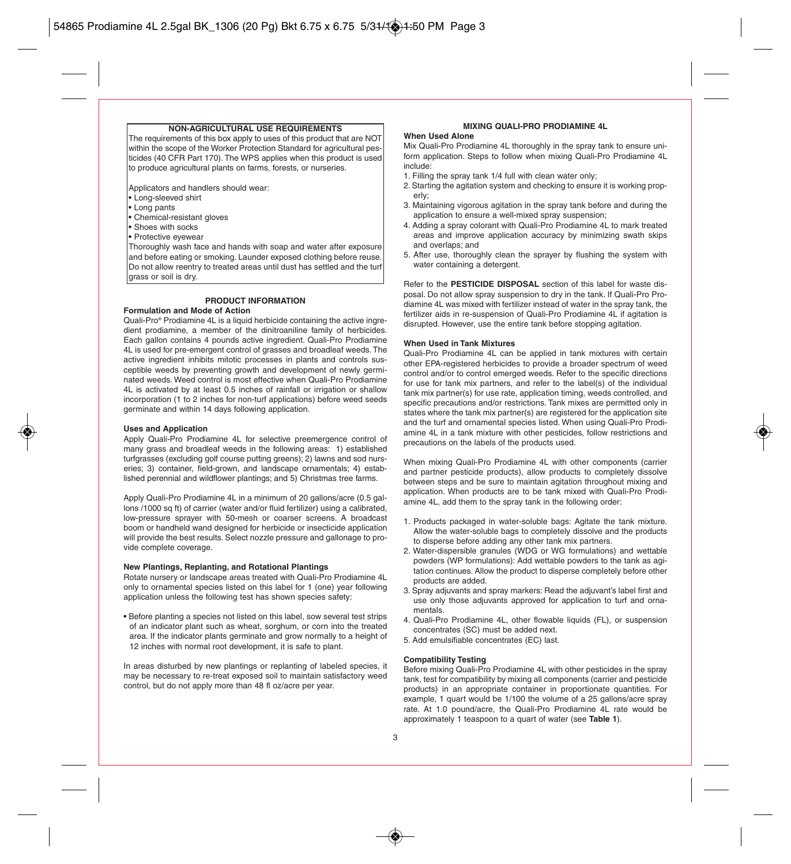#### **NON-AGRICULTURAL USE REQUIREMENTS**

The requirements of this box apply to uses of this product that are NOT within the scope of the Worker Protection Standard for agricultural pesticides (40 CFR Part 170). The WPS applies when this product is used to produce agricultural plants on farms, forests, or nurseries.

Applicators and handlers should wear:

- Long-sleeved shirt
- Long pants
- Chemical-resistant gloves
- Shoes with socks
- Protective eyewear

Thoroughly wash face and hands with soap and water after exposure and before eating or smoking. Launder exposed clothing before reuse. Do not allow reentry to treated areas until dust has settled and the turf grass or soil is dry.

#### **PRODUCT INFORMATION**

#### **Formulation and Mode of Action**

Quali-Pro® Prodiamine 4L is a liquid herbicide containing the active ingredient prodiamine, a member of the dinitroaniline family of herbicides. Each gallon contains 4 pounds active ingredient. Quali-Pro Prodiamine 4L is used for pre-emergent control of grasses and broadleaf weeds. The active ingredient inhibits mitotic processes in plants and controls susceptible weeds by preventing growth and development of newly germinated weeds. Weed control is most effective when Quali-Pro Prodiamine 4L is activated by at least 0.5 inches of rainfall or irrigation or shallow incorporation (1 to 2 inches for non-turf applications) before weed seeds germinate and within 14 days following application.

#### **Uses and Application**

Apply Quali-Pro Prodiamine 4L for selective preemergence control of many grass and broadleaf weeds in the following areas: 1) established turfgrasses (excluding golf course putting greens); 2) lawns and sod nurseries; 3) container, field-grown, and landscape ornamentals; 4) established perennial and wildflower plantings; and 5) Christmas tree farms.

Apply Quali-Pro Prodiamine 4L in a minimum of 20 gallons/acre (0.5 gallons /1000 sq ft) of carrier (water and/or fluid fertilizer) using a calibrated, low-pressure sprayer with 50-mesh or coarser screens. A broadcast boom or handheld wand designed for herbicide or insecticide application will provide the best results. Select nozzle pressure and gallonage to provide complete coverage.

#### **New Plantings, Replanting, and Rotational Plantings**

Rotate nursery or landscape areas treated with Quali-Pro Prodiamine 4L only to ornamental species listed on this label for 1 (one) year following application unless the following test has shown species safety:

**•** Before planting a species not listed on this label, sow several test strips of an indicator plant such as wheat, sorghum, or corn into the treated area. If the indicator plants germinate and grow normally to a height of 12 inches with normal root development, it is safe to plant.

In areas disturbed by new plantings or replanting of labeled species, it may be necessary to re-treat exposed soil to maintain satisfactory weed control, but do not apply more than 48 fl oz/acre per year.

#### **MIXING QUALI-PRO PRODIAMINE 4L**

#### **When Used Alone**

Mix Quali-Pro Prodiamine 4L thoroughly in the spray tank to ensure uniform application. Steps to follow when mixing Quali-Pro Prodiamine 4L include:

- 1. Filling the spray tank 1/4 full with clean water only;
- 2. Starting the agitation system and checking to ensure it is working properly;
- 3. Maintaining vigorous agitation in the spray tank before and during the application to ensure a well-mixed spray suspension;
- 4. Adding a spray colorant with Quali-Pro Prodiamine 4L to mark treated areas and improve application accuracy by minimizing swath skips and overlaps; and
- 5. After use, thoroughly clean the sprayer by flushing the system with water containing a detergent.

Refer to the **PESTICIDE DISPOSAL** section of this label for waste disposal. Do not allow spray suspension to dry in the tank. If Quali-Pro Prodiamine 4L was mixed with fertilizer instead of water in the spray tank, the fertilizer aids in re-suspension of Quali-Pro Prodiamine 4L if agitation is disrupted. However, use the entire tank before stopping agitation.

#### **When Used in Tank Mixtures**

Quali-Pro Prodiamine 4L can be applied in tank mixtures with certain other EPA-registered herbicides to provide a broader spectrum of weed control and/or to control emerged weeds. Refer to the specific directions for use for tank mix partners, and refer to the label(s) of the individual tank mix partner(s) for use rate, application timing, weeds controlled, and specific precautions and/or restrictions. Tank mixes are permitted only in states where the tank mix partner(s) are registered for the application site and the turf and ornamental species listed. When using Quali-Pro Prodiamine 4L in a tank mixture with other pesticides, follow restrictions and precautions on the labels of the products used.

When mixing Quali-Pro Prodiamine 4L with other components (carrier and partner pesticide products), allow products to completely dissolve between steps and be sure to maintain agitation throughout mixing and application. When products are to be tank mixed with Quali-Pro Prodiamine 4L, add them to the spray tank in the following order:

- 1. Products packaged in water-soluble bags: Agitate the tank mixture. Allow the water-soluble bags to completely dissolve and the products to disperse before adding any other tank mix partners.
- 2. Water-dispersible granules (WDG or WG formulations) and wettable powders (WP formulations): Add wettable powders to the tank as agitation continues. Allow the product to disperse completely before other products are added.
- 3. Spray adjuvants and spray markers: Read the adjuvant's label first and use only those adjuvants approved for application to turf and ornamentals.
- 4. Quali-Pro Prodiamine 4L, other flowable liquids (FL), or suspension concentrates (SC) must be added next.
- 5. Add emulsifiable concentrates (EC) last.

#### **Compatibility Testing**

Before mixing Quali-Pro Prodiamine 4L with other pesticides in the spray tank, test for compatibility by mixing all components (carrier and pesticide products) in an appropriate container in proportionate quantities. For example, 1 quart would be 1/100 the volume of a 25 gallons/acre spray rate. At 1.0 pound/acre, the Quali-Pro Prodiamine 4L rate would be approximately 1 teaspoon to a quart of water (see **Table 1**).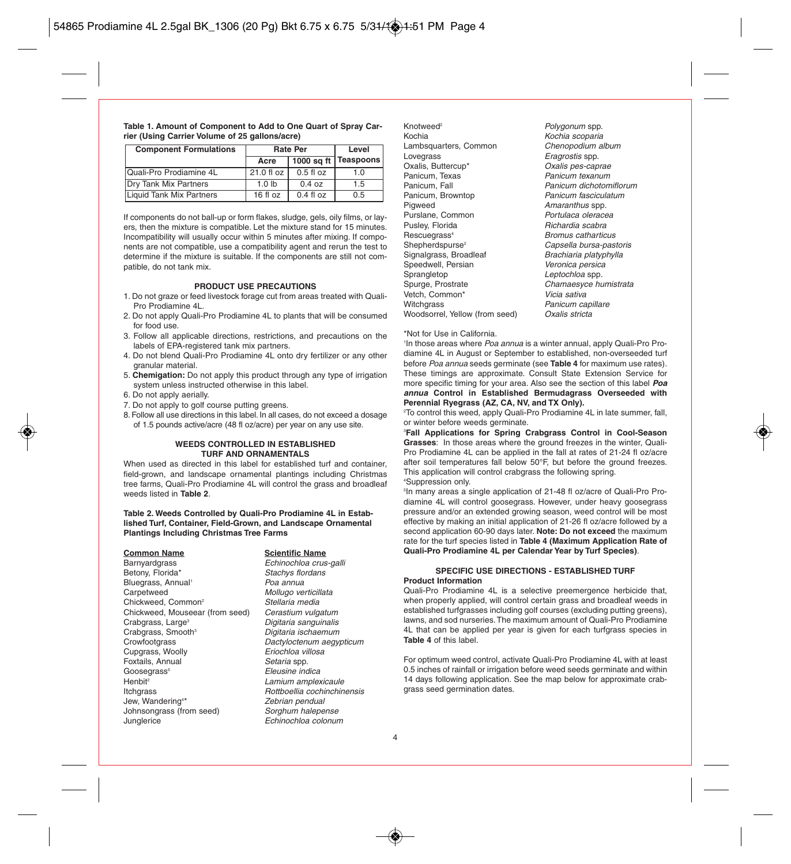| Table 1. Amount of Component to Add to One Quart of Spray Car- |  |
|----------------------------------------------------------------|--|
| rier (Using Carrier Volume of 25 gallons/acre)                 |  |

| <b>Component Formulations</b> | <b>Rate Per</b>  | Level         |           |
|-------------------------------|------------------|---------------|-----------|
|                               | Acre             | $1000$ sq ft  | Teaspoons |
| Quali-Pro Prodiamine 4L       | 21.0 fl oz       | $0.5$ fl $oz$ | 1.0       |
| <b>Drv Tank Mix Partners</b>  | 1.0 <sub>h</sub> | 0.4 oz        | 1.5       |
| Liquid Tank Mix Partners      | 16 fl oz         | $0.4$ fl $oz$ | 0.5       |

If components do not ball-up or form flakes, sludge, gels, oily films, or layers, then the mixture is compatible. Let the mixture stand for 15 minutes. Incompatibility will usually occur within 5 minutes after mixing. If components are not compatible, use a compatibility agent and rerun the test to determine if the mixture is suitable. If the components are still not compatible, do not tank mix.

#### **PRODUCT USE PRECAUTIONS**

- 1. Do not graze or feed livestock forage cut from areas treated with Quali-Pro Prodiamine 4L.
- 2. Do not apply Quali-Pro Prodiamine 4L to plants that will be consumed for food use.
- 3. Follow all applicable directions, restrictions, and precautions on the labels of EPA-registered tank mix partners.
- 4. Do not blend Quali-Pro Prodiamine 4L onto dry fertilizer or any other granular material.
- 5. **Chemigation:** Do not apply this product through any type of irrigation system unless instructed otherwise in this label.
- 6. Do not apply aerially.
- 7. Do not apply to golf course putting greens.
- 8. Follow all use directions in this label. In all cases, do not exceed a dosage of 1.5 pounds active/acre (48 fl oz/acre) per year on any use site.

#### **WEEDS CONTROLLED IN ESTABLISHED TURF AND ORNAMENTALS**

When used as directed in this label for established turf and container, field-grown, and landscape ornamental plantings including Christmas tree farms, Quali-Pro Prodiamine 4L will control the grass and broadleaf weeds listed in **Table 2**.

#### **Table 2. Weeds Controlled by Quali-Pro Prodiamine 4L in Established Turf, Container, Field-Grown, and Landscape Ornamental Plantings Including Christmas Tree Farms**

### **Common Name**<br> **Barnyardgrass**<br> **Echinochloa crus** Betony, Florida<sup>\*</sup> Stachys florida<sup>\*</sup> Stachys florida<sup>\*</sup> Stachys floridans. Bluegrass, Annual<sup>1</sup> Carpetweed Mollugo verticillata<br>Chickweed Common<sup>2</sup> Stellaria media Chickweed, Common<sup>2</sup> Stellaria media<br>Chickweed, Mouseear (from seed) Cerastium vulgatum Chickweed, Mouseear (from seed)<br>Crabgrass, Large<sup>3</sup> Crabgrass, Smooth<sup>3</sup><br>Crowfootgrass Cupgrass, Woolly Foxtails, Annual Setaria spp. Goosegrass<sup>s</sup> Eleusine indica<br>Thenbit<sup>s</sup> Eleusine indicate the entity of the Lamium amplex Itchgrass **Rottboellia** cochinchinensis Jew, Wandering4 Johnsongrass (from seed) Sorghum halepense<br>Junglerice Sunglerice Echinochloa colonun

Echinochloa crus-galli<br>Stachys flordans Digitaria sanguinalis<br>Digitaria ischaemum Dactyloctenum aegypticum<br>Eriochloa villosa Lamium amplexicaule Zebrian pendual Echinochloa colonum

Knotweed<sup>2</sup> **Example 2 Polygonum spp.**<br>Cochia Polygonum Sochia scoparia Lambsquarters, Common<br>Lovegrass Lovegrass Eragrostis spp.<br>
Dxalis. Buttercup<sup>\*</sup> Cxalis pes-cap Panicum, Texas<br>Panicum, Fall Panicum, Fall **Panicum dichotomiflorum**<br>Panicum Brownton **Panicum fasciculatum** Panicum, Browntop **Panicum fasciculatum**<br>Pigweed **Panicum Amaranthus** spp. Purslane, Common<br>Puslev, Florida Pusley, Florida **Richardia scabra**<br>Rescuegrass<sup>4</sup> Rescuegration Rescuegrass<sup>4</sup> Rescuegrass4 Bromus catharticus Signalgrass, Broadleaf<br>Speedwell Persian Speedwell, Persian **Veronica persica**<br>
Sprangletop **Containers** *Leptochloa* spp. Sprangletop Communication Chamaes von Bourge Leptochloa spp.<br>Spurge. Prostrate Chamaes von Bourge Chamaes von Bourge Luis Vetch, Common\*<br>Witchgrass Woodsorrel, Yellow (from seed)

Kochia scoparia<br>Chenopodium album Oxalis pes-caprae<br>Panicum texanum Amaranthus spp.<br>Portulaca oleracea Capsella bursa-pastoris<br>Brachiaria platyphylla Chamaesyce humistrata<br>Vicia sativa Panicum capillare<br>Oxalis stricta

#### \*Not for Use in California.

<sup>1</sup>In those areas where *Poa annua* is a winter annual, apply Quali-Pro Prodiamine 4L in August or September to established, non-overseeded turf before Poa annua seeds germinate (see **Table 4** for maximum use rates). These timings are approximate. Consult State Extension Service for more specific timing for your area. Also see the section of this label **Poa annua Control in Established Bermudagrass Overseeded with Perennial Ryegrass (AZ, CA, NV, and TX Only).**

 $^{\circ}$ To control this weed, apply Quali-Pro Prodiamine 4L in late summer, fall, or winter before weeds germinate.

3 **Fall Applications for Spring Crabgrass Control in Cool-Season Grasses**: In those areas where the ground freezes in the winter, Quali-Pro Prodiamine 4L can be applied in the fall at rates of 21-24 fl oz/acre after soil temperatures fall below 50°F, but before the ground freezes. This application will control crabgrass the following spring. 4 Suppression only.

5 In many areas a single application of 21-48 fl oz/acre of Quali-Pro Prodiamine 4L will control goosegrass. However, under heavy goosegrass pressure and/or an extended growing season, weed control will be most effective by making an initial application of 21-26 fl oz/acre followed by a second application 60-90 days later. **Note: Do not exceed** the maximum rate for the turf species listed in **Table 4 (Maximum Application Rate of Quali-Pro Prodiamine 4L per Calendar Year by Turf Species)**.

#### **SPECIFIC USE DIRECTIONS - ESTABLISHED TURF Product Information**

Quali-Pro Prodiamine 4L is a selective preemergence herbicide that when properly applied, will control certain grass and broadleaf weeds in established turfgrasses including golf courses (excluding putting greens), lawns, and sod nurseries. The maximum amount of Quali-Pro Prodiamine 4L that can be applied per year is given for each turfgrass species in **Table 4** of this label.

For optimum weed control, activate Quali-Pro Prodiamine 4L with at least 0.5 inches of rainfall or irrigation before weed seeds germinate and within 14 days following application. See the map below for approximate crabgrass seed germination dates.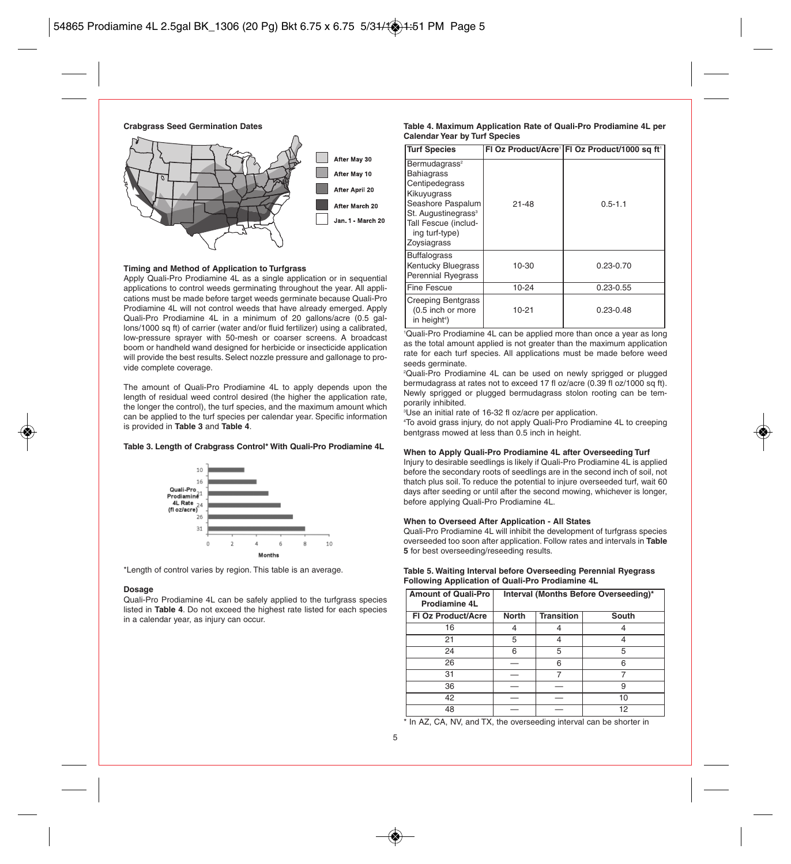**Crabgrass Seed Germination Dates**



#### **Timing and Method of Application to Turfgrass**

Apply Quali-Pro Prodiamine 4L as a single application or in sequential applications to control weeds germinating throughout the year. All applications must be made before target weeds germinate because Quali-Pro Prodiamine 4L will not control weeds that have already emerged. Apply Quali-Pro Prodiamine 4L in a minimum of 20 gallons/acre (0.5 gallons/1000 sq ft) of carrier (water and/or fluid fertilizer) using a calibrated, low-pressure sprayer with 50-mesh or coarser screens. A broadcast boom or handheld wand designed for herbicide or insecticide application will provide the best results. Select nozzle pressure and gallonage to provide complete coverage.

The amount of Quali-Pro Prodiamine 4L to apply depends upon the length of residual weed control desired (the higher the application rate, the longer the control), the turf species, and the maximum amount which can be applied to the turf species per calendar year. Specific information is provided in **Table 3** and **Table 4**.

#### **Table 3. Length of Crabgrass Control\* With Quali-Pro Prodiamine 4L**



\*Length of control varies by region. This table is an average.

#### **Dosage**

Quali-Pro Prodiamine 4L can be safely applied to the turfgrass species listed in **Table 4**. Do not exceed the highest rate listed for each species in a calendar year, as injury can occur.

#### **Table 4. Maximum Application Rate of Quali-Pro Prodiamine 4L per Calendar Year by Turf Species**

| <b>Turf Species</b>                                                                                                                                                                              |           | FI Oz Product/Acre <sup>1</sup> FI Oz Product/1000 sq ft <sup>1</sup> |
|--------------------------------------------------------------------------------------------------------------------------------------------------------------------------------------------------|-----------|-----------------------------------------------------------------------|
| Bermudagrass <sup>2</sup><br><b>Bahiagrass</b><br>Centipedegrass<br>Kikuyugrass<br>Seashore Paspalum<br>St. Augustinegrass <sup>3</sup><br>Tall Fescue (includ-<br>ing turf-type)<br>Zoysiagrass | $21 - 48$ | $0.5 - 1.1$                                                           |
| <b>Buffalograss</b><br>Kentucky Bluegrass<br><b>Perennial Ryegrass</b>                                                                                                                           | 10-30     | $0.23 - 0.70$                                                         |
| Fine Fescue                                                                                                                                                                                      | 10-24     | $0.23 - 0.55$                                                         |
| <b>Creeping Bentgrass</b><br>(0.5 inch or more<br>in height <sup>4</sup> )                                                                                                                       | $10 - 21$ | $0.23 - 0.48$                                                         |

1 Quali-Pro Prodiamine 4L can be applied more than once a year as long as the total amount applied is not greater than the maximum application rate for each turf species. All applications must be made before weed seeds germinate.

2 Quali-Pro Prodiamine 4L can be used on newly sprigged or plugged bermudagrass at rates not to exceed 17 fl oz/acre (0.39 fl oz/1000 sq ft). Newly sprigged or plugged bermudagrass stolon rooting can be temporarily inhibited.

3 Use an initial rate of 16-32 fl oz/acre per application.

4 To avoid grass injury, do not apply Quali-Pro Prodiamine 4L to creeping bentgrass mowed at less than 0.5 inch in height.

#### **When to Apply Quali-Pro Prodiamine 4L after Overseeding Turf**

Injury to desirable seedlings is likely if Quali-Pro Prodiamine 4L is applied before the secondary roots of seedlings are in the second inch of soil, not thatch plus soil. To reduce the potential to injure overseeded turf, wait 60 days after seeding or until after the second mowing, whichever is longer, before applying Quali-Pro Prodiamine 4L.

#### **When to Overseed After Application - All States**

Quali-Pro Prodiamine 4L will inhibit the development of turfgrass species overseeded too soon after application. Follow rates and intervals in **Table 5** for best overseeding/reseeding results.

| <b>Amount of Quali-Pro</b><br>Prodiamine 4L | Interval (Months Before Overseeding)* |                   |       |
|---------------------------------------------|---------------------------------------|-------------------|-------|
| <b>FI Oz Product/Acre</b>                   | <b>North</b>                          | <b>Transition</b> | South |
| 16                                          |                                       |                   |       |
| 21                                          | 5                                     |                   |       |
| 24                                          | 6                                     | 5                 | 5     |
| 26                                          |                                       | 6                 | 6     |
| 31                                          |                                       |                   |       |
| 36                                          |                                       |                   | 9     |
| 42                                          |                                       |                   | 10    |
| 48                                          |                                       |                   | 12    |

**Table 5. Waiting Interval before Overseeding Perennial Ryegrass Following Application of Quali-Pro Prodiamine 4L**

\* In AZ, CA, NV, and TX, the overseeding interval can be shorter in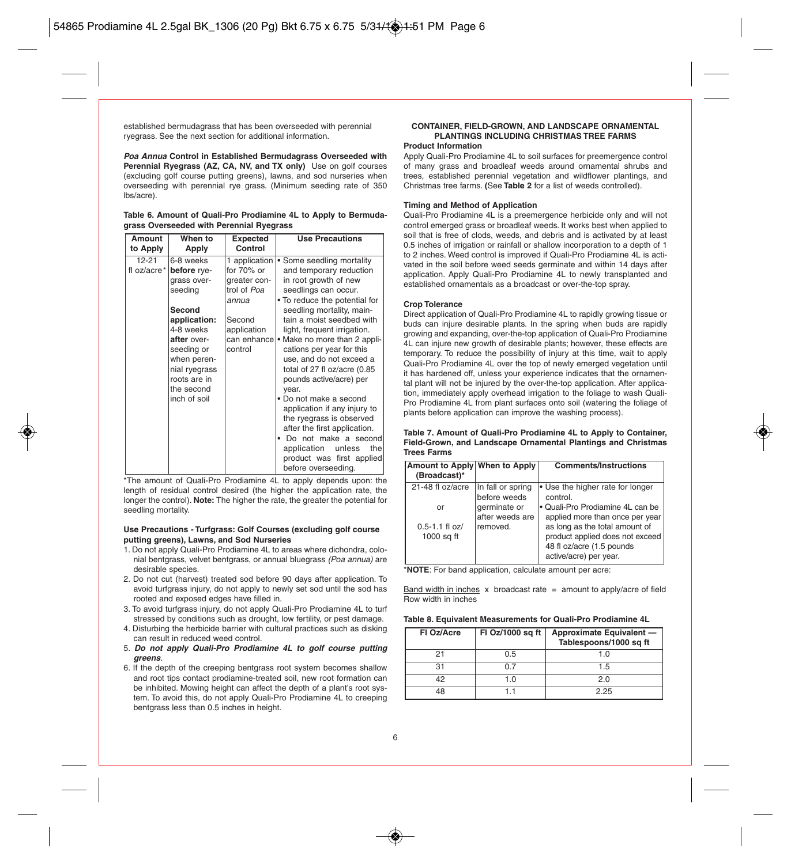established bermudagrass that has been overseeded with perennial ryegrass. See the next section for additional information.

**Poa Annua Control in Established Bermudagrass Overseeded with Perennial Ryegrass (AZ, CA, NV, and TX only)** Use on golf courses (excluding golf course putting greens), lawns, and sod nurseries when overseeding with perennial rye grass. (Minimum seeding rate of 350 lbs/acre).

|  |  |                                          |  |  | Table 6. Amount of Quali-Pro Prodiamine 4L to Apply to Bermuda- |
|--|--|------------------------------------------|--|--|-----------------------------------------------------------------|
|  |  | grass Overseeded with Perennial Ryegrass |  |  |                                                                 |

| Amount<br>to Apply       | When to<br>Apply                                                                                                                                                                                     | Expected<br>Control                                                                       | <b>Use Precautions</b>                                                                                                                                                                                                                                                                                                                                                                                                                                                                                                                                                                                                                                     | soil that is tree of<br>0.5 inches of irrigat<br>to 2 inches. Weed                                                                                                                                                                                                                                                                                                                                                                        |
|--------------------------|------------------------------------------------------------------------------------------------------------------------------------------------------------------------------------------------------|-------------------------------------------------------------------------------------------|------------------------------------------------------------------------------------------------------------------------------------------------------------------------------------------------------------------------------------------------------------------------------------------------------------------------------------------------------------------------------------------------------------------------------------------------------------------------------------------------------------------------------------------------------------------------------------------------------------------------------------------------------------|-------------------------------------------------------------------------------------------------------------------------------------------------------------------------------------------------------------------------------------------------------------------------------------------------------------------------------------------------------------------------------------------------------------------------------------------|
| $12 - 21$<br>fl oz/acre* | 6-8 weeks<br>before rye-<br>grass over-<br>seedina<br>Second<br>application:<br>4-8 weeks<br>after over-<br>seeding or<br>when peren-<br>nial ryegrass<br>roots are in<br>the second<br>inch of soil | for $70\%$ or<br>greater con-<br>trol of Poa<br>annua<br>Second<br>application<br>control | 1 application   • Some seedling mortality<br>and temporary reduction<br>in root growth of new<br>seedlings can occur.<br>• To reduce the potential for<br>seedling mortality, main-<br>tain a moist seedbed with<br>light, frequent irrigation.<br>can enhance • Make no more than 2 appli-<br>cations per year for this<br>use, and do not exceed a<br>total of 27 fl oz/acre (0.85<br>pounds active/acre) per<br>vear.<br>• Do not make a second<br>application if any injury to<br>the ryegrass is observed<br>after the first application.<br>· Do not make a second<br>application unless<br>thel<br>product was first applied<br>before overseeding. | vated in the soil be<br>application. Apply<br>established orname<br><b>Crop Tolerance</b><br>Direct application o<br>buds can injure de<br>growing and expan<br>4L can injure new<br>temporary. To redu<br>Quali-Pro Prodiami<br>it has hardened off<br>tal plant will not be<br>tion, immediately a<br>Pro Prodiamine 4L<br>plants before appli<br>Table 7. Amount o<br>Field-Grown, and<br><b>Trees Farms</b><br><b>Amount to Apply</b> |

\*The amount of Quali-Pro Prodiamine 4L to apply depends upon: the length of residual control desired (the higher the application rate, the longer the control). **Note:** The higher the rate, the greater the potential for seedling mortality.

#### **Use Precautions - Turfgrass: Golf Courses (excluding golf course putting greens), Lawns, and Sod Nurseries**

- 1. Do not apply Quali-Pro Prodiamine 4L to areas where dichondra, colonial bentgrass, velvet bentgrass, or annual bluegrass (Poa annua) are desirable species.
- 2. Do not cut (harvest) treated sod before 90 days after application. To avoid turfgrass injury, do not apply to newly set sod until the sod has rooted and exposed edges have filled in.
- 3. To avoid turfgrass injury, do not apply Quali-Pro Prodiamine 4L to turf stressed by conditions such as drought, low fertility, or pest damage.
- 4. Disturbing the herbicide barrier with cultural practices such as disking can result in reduced weed control.
- 5. **Do not apply Quali-Pro Prodiamine 4L to golf course putting greens**.
- 6. If the depth of the creeping bentgrass root system becomes shallow and root tips contact prodiamine-treated soil, new root formation can be inhibited. Mowing height can affect the depth of a plant's root system. To avoid this, do not apply Quali-Pro Prodiamine 4L to creeping bentgrass less than 0.5 inches in height.

#### **CONTAINER, FIELD-GROWN, AND LANDSCAPE ORNAMENTAL PLANTINGS INCLUDING CHRISTMAS TREE FARMS Product Information**

Apply Quali-Pro Prodiamine 4L to soil surfaces for preemergence control of many grass and broadleaf weeds around ornamental shrubs and trees, established perennial vegetation and wildflower plantings, and Christmas tree farms. **(**See **Table 2** for a list of weeds controlled).

#### **Timing and Method of Application**

Quali-Pro Prodiamine 4L is a preemergence herbicide only and will not control emerged grass or broadleaf weeds. It works best when applied to soil that is free of clods, weeds, and debris and is activated by at least 0.5 inches of irrigation or rainfall or shallow incorporation to a depth of 1 to 2 inches. Weed control is improved if Quali-Pro Prodiamine 4L is activated in the soil before weed seeds germinate and within 14 days after application. Apply Quali-Pro Prodiamine 4L to newly transplanted and established ornamentals as a broadcast or over-the-top spray.

#### **Crop Tolerance**

Direct application of Quali-Pro Prodiamine 4L to rapidly growing tissue or buds can injure desirable plants. In the spring when buds are rapidly growing and expanding, over-the-top application of Quali-Pro Prodiamine 4L can injure new growth of desirable plants; however, these effects are temporary. To reduce the possibility of injury at this time, wait to apply Quali-Pro Prodiamine 4L over the top of newly emerged vegetation until it has hardened off, unless your experience indicates that the ornamental plant will not be injured by the over-the-top application. After application, immediately apply overhead irrigation to the foliage to wash Quali-Pro Prodiamine 4L from plant surfaces onto soil (watering the foliage of plants before application can improve the washing process).

**Table 7. Amount of Quali-Pro Prodiamine 4L to Apply to Container, Field-Grown, and Landscape Ornamental Plantings and Christmas Trees Farms**

| Amount to Apply When to Apply<br>(Broadcast)*              |                                                                                  | <b>Comments/Instructions</b>                                                                                                                                                                                                                    |
|------------------------------------------------------------|----------------------------------------------------------------------------------|-------------------------------------------------------------------------------------------------------------------------------------------------------------------------------------------------------------------------------------------------|
| 21-48 fl oz/acre<br>or<br>$0.5 - 1.1$ fl oz/<br>1000 sq ft | In fall or spring<br>before weeds<br>germinate or<br>after weeds are<br>removed. | • Use the higher rate for longer<br>control.<br>• Quali-Pro Prodiamine 4L can be<br>applied more than once per year<br>as long as the total amount of<br>product applied does not exceed<br>48 fl oz/acre (1.5 pounds<br>active/acre) per year. |

\***NOTE**: For band application, calculate amount per acre:

Band width in inches  $x$  broadcast rate = amount to apply/acre of field Row width in inches

|  |  | Table 8. Equivalent Measurements for Quali-Pro Prodiamine 4L |  |  |  |
|--|--|--------------------------------------------------------------|--|--|--|
|--|--|--------------------------------------------------------------|--|--|--|

| FI Oz/Acre | FI Oz/1000 sq ft | Approximate Equivalent -<br>Tablespoons/1000 sq ft |
|------------|------------------|----------------------------------------------------|
| 21         | 0.5              | 1.0                                                |
| 31         | በ 7              | 1.5                                                |
| 42         | 1.0              | 2.0                                                |
| 48         |                  | 2.25                                               |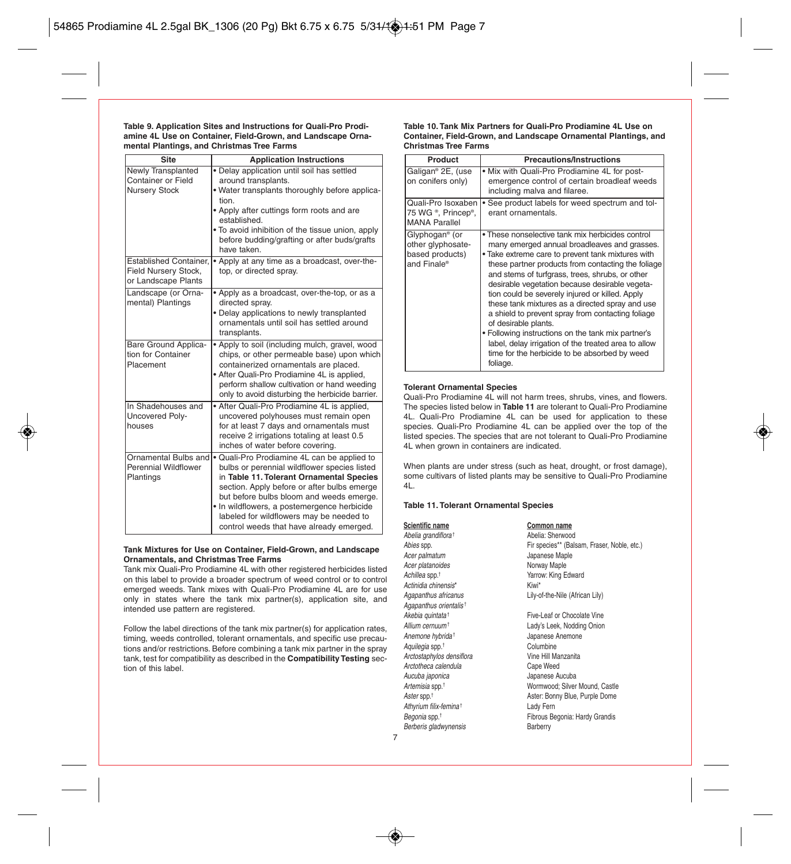#### **Table 9. Application Sites and Instructions for Quali-Pro Prodiamine 4L Use on Container, Field-Grown, and Landscape Ornamental Plantings, and Christmas Tree Farms**

| Site                                                                                       | <b>Application Instructions</b>                                                                                                                                                                                                                                                                                                                                           |
|--------------------------------------------------------------------------------------------|---------------------------------------------------------------------------------------------------------------------------------------------------------------------------------------------------------------------------------------------------------------------------------------------------------------------------------------------------------------------------|
| Newly Transplanted<br>Container or Field<br>Nursery Stock<br><b>Established Container,</b> | · Delay application until soil has settled<br>around transplants.<br>. Water transplants thoroughly before applica-<br>tion.<br>• Apply after cuttings form roots and are<br>established.<br>. To avoid inhibition of the tissue union, apply<br>before budding/grafting or after buds/grafts<br>have taken.<br>• Apply at any time as a broadcast, over-the-             |
| Field Nursery Stock,<br>or Landscape Plants                                                | top, or directed spray.                                                                                                                                                                                                                                                                                                                                                   |
| Landscape (or Orna-<br>mental) Plantings                                                   | • Apply as a broadcast, over-the-top, or as a<br>directed spray.<br>. Delay applications to newly transplanted<br>ornamentals until soil has settled around<br>transplants.                                                                                                                                                                                               |
| Bare Ground Applica-<br>tion for Container<br>Placement                                    | . Apply to soil (including mulch, gravel, wood<br>chips, or other permeable base) upon which<br>containerized ornamentals are placed.<br>• After Quali-Pro Prodiamine 4L is applied,<br>perform shallow cultivation or hand weeding<br>only to avoid disturbing the herbicide barrier.                                                                                    |
| In Shadehouses and<br>Uncovered Poly-<br>houses                                            | • After Quali-Pro Prodiamine 4L is applied,<br>uncovered polyhouses must remain open<br>for at least 7 days and ornamentals must<br>receive 2 irrigations totaling at least 0.5<br>inches of water before covering.                                                                                                                                                       |
| Ornamental Bulbs and<br>Perennial Wildflower<br>Plantings                                  | . Quali-Pro Prodiamine 4L can be applied to<br>bulbs or perennial wildflower species listed<br>in Table 11. Tolerant Ornamental Species<br>section. Apply before or after bulbs emerge<br>but before bulbs bloom and weeds emerge.<br>· In wildflowers, a postemergence herbicide<br>labeled for wildflowers may be needed to<br>control weeds that have already emerged. |

#### **Tank Mixtures for Use on Container, Field-Grown, and Landscape Ornamentals, and Christmas Tree Farms**

Tank mix Quali-Pro Prodiamine 4L with other registered herbicides listed on this label to provide a broader spectrum of weed control or to control emerged weeds. Tank mixes with Quali-Pro Prodiamine 4L are for use only in states where the tank mix partner(s), application site, and intended use pattern are registered.

Follow the label directions of the tank mix partner(s) for application rates, timing, weeds controlled, tolerant ornamentals, and specific use precautions and/or restrictions. Before combining a tank mix partner in the spray tank, test for compatibility as described in the **Compatibility Testing** section of this label.

#### **Table 10. Tank Mix Partners for Quali-Pro Prodiamine 4L Use on Container, Field-Grown, and Landscape Ornamental Plantings, and Christmas Tree Farms**

| Product                                                                           | <b>Precautions/Instructions</b>                                                                                                                                                                                                                                                                                                                                                                                                                                                                                                                                                                                                                                                |
|-----------------------------------------------------------------------------------|--------------------------------------------------------------------------------------------------------------------------------------------------------------------------------------------------------------------------------------------------------------------------------------------------------------------------------------------------------------------------------------------------------------------------------------------------------------------------------------------------------------------------------------------------------------------------------------------------------------------------------------------------------------------------------|
| Galigan® 2E, (use<br>on conifers only)                                            | . Mix with Quali-Pro Prodiamine 4L for post-<br>emergence control of certain broadleaf weeds<br>including malva and filaree.                                                                                                                                                                                                                                                                                                                                                                                                                                                                                                                                                   |
| Quali-Pro Isoxaben<br>75 WG ®, Princep®,<br><b>MANA Parallel</b>                  | . See product labels for weed spectrum and tol-<br>erant ornamentals.                                                                                                                                                                                                                                                                                                                                                                                                                                                                                                                                                                                                          |
| Glyphogan <sup>®</sup> (or<br>other glyphosate-<br>based products)<br>and Finale® | • These nonselective tank mix herbicides control<br>many emerged annual broadleaves and grasses.<br>. Take extreme care to prevent tank mixtures with<br>these partner products from contacting the foliage<br>and stems of turfgrass, trees, shrubs, or other<br>desirable vegetation because desirable vegeta-<br>tion could be severely injured or killed. Apply<br>these tank mixtures as a directed spray and use<br>a shield to prevent spray from contacting foliage<br>of desirable plants.<br>• Following instructions on the tank mix partner's<br>label, delay irrigation of the treated area to allow<br>time for the herbicide to be absorbed by weed<br>foliage. |

#### **Tolerant Ornamental Species**

Quali-Pro Prodiamine 4L will not harm trees, shrubs, vines, and flowers. The species listed below in **Table 11** are tolerant to Quali-Pro Prodiamine 4L. Quali-Pro Prodiamine 4L can be used for application to these species. Quali-Pro Prodiamine 4L can be applied over the top of the listed species. The species that are not tolerant to Quali-Pro Prodiamine 4L when grown in containers are indicated.

When plants are under stress (such as heat, drought, or frost damage), some cultivars of listed plants may be sensitive to Quali-Pro Prodiamine 4L.

#### **Table 11. Tolerant Ornamental Species**

| Scientific name                    | Common name                                 |
|------------------------------------|---------------------------------------------|
| Abelia grandiflora <sup>†</sup>    | Abelia: Sherwood                            |
| Abies spp.                         | Fir species** (Balsam, Fraser, Noble, etc.) |
| Acer palmatum                      | Japanese Maple                              |
| Acer platanoides                   | Norway Maple                                |
| Achillea spp. <sup>†</sup>         | Yarrow: King Edward                         |
| Actinidia chinensis*               | Kiwi*                                       |
| Agapanthus africanus               | Lily-of-the-Nile (African Lily)             |
| Agapanthus orientalis <sup>+</sup> |                                             |
| Akebia quintata <sup>+</sup>       | Five-Leaf or Chocolate Vine                 |
| Allium cernuum <sup>+</sup>        | Lady's Leek, Nodding Onion                  |
| Anemone hybrida <sup>+</sup>       | Japanese Anemone                            |
| Aquilegia spp. <sup>†</sup>        | Columbine                                   |
| Arctostaphylos densiflora          | Vine Hill Manzanita                         |
| Arctotheca calendula               | Cape Weed                                   |
| Aucuba japonica                    | Japanese Aucuba                             |
| Artemisia spp. <sup>†</sup>        | Wormwood: Silver Mound, Castle              |
| Aster spp. <sup>†</sup>            | Aster: Bonny Blue, Purple Dome              |
| Athyrium filix-femina <sup>t</sup> | Lady Fern                                   |
| Begonia spp. <sup>†</sup>          | Fibrous Begonia: Hardy Grandis              |
| Berberis gladwynensis              | Barberry                                    |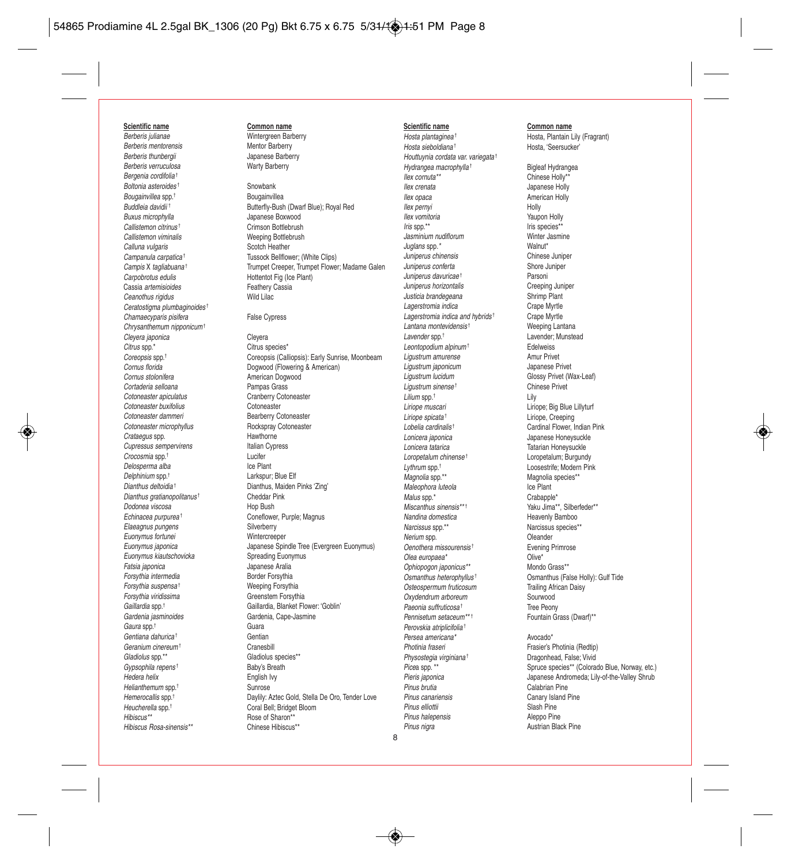#### **Scientific name Common name**

Berberis julianae **Wintergreen Barberry**<br>Berberis mentorensis **Mentor Barberry** Berberis mentorensis<br>Berberis thunbergii Berberis verruculosa Bergenia cordifolia† Boltonia asteroides<sup>†</sup><br>Bougainvillea spn.<sup>†</sup> Snowbank Bougainvillea Bougainvillea spp.<sup>†</sup><br>Buddleja davidij † Callistemon citrinus † Crimson Bottlebrush Callistemon viminalis<br>Calluna vulgaris Calling Scotch Heather Calluna vulgaris<br>Campanula carpatica<sup>+</sup> Cassia artemisioides<br>
Ceanothus rigidus<br>
Ceanothus rigidus<br>
Vild Lilac Ceanothus rigidus Ceratostigma plumbaginoides<sup>†</sup> Chamaecyparis pisifera False Cypress Chrysanthemum nipponicum† Cleyera japonica (Cleyera Cleyera Cleyera Cleyera Cleyera Cleyera Cleyera Cleyera Cleyera Cleyera Cleyera Cleyera Cleyera Cleyera Cleyera Cleyera Cleyera Cleyera Cleyera Cleyera Cleyera Cleyera Cleyera Cleyera Cleyera Cley Cortaderia selloana Cotoneaster apiculatus<br>
Cotoneaster buxifolius<br>
Cotoneaster Cotoneaster Cotoneaster buxifolius Cotoneaster dammeri<br>
Cotoneaster micronhyllus<br>
Bockspray Cotoneaster Cotoneaster microphyllus<br>Crataegus spp. 88 Mawthorne Crataegus spp.<br>Cupressus sempervirens entity of the Hallan Cypress Cupressus sempervirens Italian Italian Crocosmia sport  $C$ rocosmia spp. $\dagger$ Delosperma alba<br>
Delohinium spo.<sup>†</sup><br>
Larkspur Delphinium spp.† Larkspur; Blue Elf Dianthus gratianopolitanus<sup>†</sup> Cheddar Pink<br>Dodones viscosa Hop Bush Dodonea viscosa Elaeagnus pungens Euonymus fortunei Wintercreeper Euonymus kiautschovicka<br>Eatsia japonica Forsythia intermedia and a Border Forsythia<br>Forsythia suspensa<sup>†</sup> Border Borsythia Forsythia suspensa<sup>+</sup> Forsythia viridissima<br>
Greenstem Forsythia Gaura spp.<sup>†</sup> Guara Caura Spp.<sup>†</sup> Gentiana dahurica† Gentian Geranium cinereum† Cranesbill Gladiolus spp.\*\* Gladiolus species\*\* Gypsophila repens<sup>†</sup> Franch Baby's Breath Hedera helix<br>Hedera helix Franch Baby's Breath Hedera helix Hedera helix Helianthemum spp.<sup>†</sup> Sunrose Heucherella spp.<sup>†</sup> Coral Bell; Bridget Bloom<br>
Hibiscus<sup>\*\*</sup><br>
Rose of Sharon<sup>\*\*</sup> Hibiscus Rosa-sinensis\*\*

Japanese Barberry<br>Warty Barberry

Butterfly-Bush (Dwarf Blue); Royal Red<br>Buxus microphylla example and development dangers boxwood Japanese Boxwood<br>Crimson Bottlebrush Campanula carpatica<sup>†</sup> Tussock Bellflower; (White Clips)<br>
Campis X tagliabuana<sup>†</sup> Trumpet Creeper, Trumpet Flowe Campis X tagliabuana<sup>†</sup> Trumpet Creeper, Trumpet Flower; Madame Galen<br>
Caroobrotus edulis<br>
Hottentot Fig (Ice Plant) Hottentot Fig (Ice Plant)<br>Feathery Cassia

Citrus species\* Coreopsis spp.<sup>†</sup> Coreopsis (Calliopsis): Early Sunrise, Moonbeam<br>
Cornus florida **Cornus** Dogwood (Flowering & American) Cornus florida **Dogwood** (Flowering & American)<br>Cornus stalonifera **Cornus** American Dogwood American Dogwood<br>Pamnas Grass Dianthus, Maiden Pinks 'Zing' Echinacea purpurea<sup>†</sup> Coneflower, Purple; Magnus<br>
Elaeagnus pungens<br>
Silverberry Euonymus japonica Japanese Spindle Tree (Evergreen Euonymus) Fatsia japonica Japanese Aralia Gaillardia spp.<sup>†</sup> Gaillardia, Blanket Flower: 'Goblin'<br>Gardenia iasminoides Gardenia, Cape-Jasmine Gardenia, Cape-Jasmine Hemerocallis spp.<sup>†</sup> Daylily: Aztec Gold, Stella De Oro, Tender Love Rose of Sharon\*\*<br>Chinese Hibiscus\*\*

#### **Scientific name Common name**

Houttuynia cordata var. variegata† Hydrangea macrophylla<sup>†</sup> Bigleaf Hydrangea<br>
Ilex cornuta<sup>\*\*</sup> Chinese Holly<sup>\*\*</sup> Ilex cornuta\*\* Chinese Holly\*\* Ilex crenata<br>Ilex onaca<br>American Holly Ilex pernyi Holly Ilex vomitoria<br>
Iris spo.\*\*<br>
Iris species\*\*<br>
Iris species\*\* Jasminium nudiflorum<br>Juglans spp. \* Walnut\* Walnut\* Juglans spp.\*<br>- Inninerus chinensis Muslim and Chinese Juniper Juniperus chinensis Chinese Juniper Juniperus conferta Shore Juniper Juniperus davuricae<sup>†</sup> Juniperus horizontalis Creeping Juniper Justicia brandegeana<br>Lagerstromia indica<br>Crape Myrtle Lagerstromia indica<br>Lagerstromia indica and hybrids<sup>t</sup> Crape Myrtle Lagerstromia indica and hybrids<sup>†</sup> Crape Myrtle<br>Lantana montevidensis<sup>†</sup> Weeping Lantana Lantana montevidensis<sup>†</sup><br>Lavender spp.<sup>†</sup> Leontopodium alpinum<sup>†</sup><br>Ligustrum amurense<br>Ligustrum amurense Ligustrum amurense **Amur Privet**<br>Amur *amuricum* Amur Amure Shannese Privet Ligustrum japonicum<br>Ligustrum lucidum Ligustrum sinense<sup>†</sup> Lilium spp.<sup>†</sup> † Lily Liriope muscari **Liriope; Big Blue Lillyturf**<br>Liriope spicata<sup>†</sup> Liriope Creening Liriope spicata<sup>†</sup><br>
Lohalia cardinalist<br>
Cardinal Flower Lohalia Cardinal Flower Lobelia cardinalis<sup>t</sup><br>
Lonicera iaponica<br>
Lonicera iaponica Lonicera japonica<br>Lonicera tatarica de la provincia de la Tatarian Honeysuckle Loropetalum chinense<sup>t</sup> Lythrum spp.<sup>†</sup><br>
Loosestrife; Modern Pink<br>
Magnolia spp.\*\*<br>
Magnolia species\*\* Maleophora luteola<br>
Malus spo.\* Ice Plant<br>
Malus spo.\* Icrahapple Malus spp. $*$ Miscanthus sinensis\*\*\* \* \* \* \* \* Yaku Jima\*\*, Silberfeder\*\* Nandina domestica<br>
Narcissus spo.\*\*<br>
Narcissus spo.\*\*<br>
Narcissus species Nerium spp. Oenothera missourensis<sup>t</sup> Evening Primrose Olea europaea\* <br>Ophiopogon iaponicus\*\* 6 Mondo Grass\*\* Ophiopogon japonicus\*\*<br>Osmanthus heterophyllus<sup>†</sup> Osteospermum fruticosum<br>
Oxydendrum arboreum<br>
Sounwood Oxydendrum arboreum<br>Paeonia suffruticosa<sup>†</sup> Tree Peony Paeonia suffruticosa† Tree Peony Pennisetum setaceum<sup>\*\* †</sup> Fountain Grass (Dwarf)<sup>\*\*</sup> Perovskia atriplicifolia† Persea americana\* <br>Photinia fraseri **Avocado\* Avocado\* Prasier's** F Physostegia virginiana<sup>†</sup> Dragonhead, False; Vivid<br>Picea spp. \*\*<br>
Spruce species\*\* (Colora Pinus canariensis<br>
Pinus elliottii Canary Island Pine<br>
Clash Pine Pinus elliottii Pinus halepensis **Aleppo Pine** Pinus nigra **Austrian Black Pine** 

Hosta plantaginea<sup>†</sup> Hosta, Plantain Lily (Fragrant)<br>Hosta sieboldiana<sup>†</sup> Hosta, 'Seersucker' Hosta, 'Seersucker'

> American Holly Iris species\*\*<br>Winter Jasmine Lavender; Munstead<br>Fdelweiss Glossy Privet (Wax-Leaf)<br>Chinese Privet Tatarian Honeysuckle<br>Loronetalum: Burgundy Magnolia species\*\*<br>Ice Plant Narcissus species\*\*<br>Oleander Osmanthus (False Holly): Gulf Tide<br>Trailing African Daisy Frasier's Photinia (Redtip)

Spruce species\*\* (Colorado Blue, Norway, etc.) Pieris japonica<br>
Pinus hrutia<br>
Pinus hrutia<br>
Calabrian Pine<br>
Calabrian Pine Calabrian Pine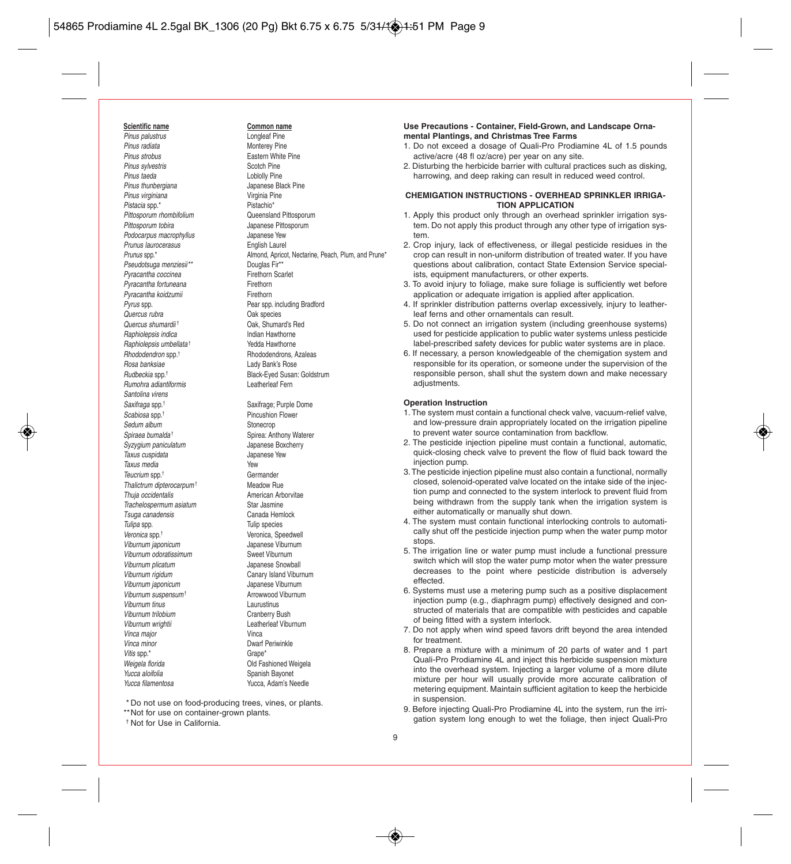**Scientific name**<br> **Pinus palustrus Common name**<br> **Common name**<br> **Common name** Pinus palustrus<br>Pinus radiata Pinus radiata<br>
Pinus strobus<br>
Pinus strobus Pinus sylvestris<br>Pinus taeda Pinus taeda<br>
Pinus thunbergiana<br>
Pinus thunbergiana<br>
Compared Bland Bland Bland Bland Bland Bland Bland Bland Bland Bland Bland Bland Bland Bland Bland Bland Bland Pinus virginiana<br>Pistacia spotachia di unita pistachia Pistachia Pistachia Pistachia Pistachia Pistachia Pistachia Pistachia P Pistacia spp.\*<br>
Pistachio\* Pittosporum mombifolium Cueensland Pittosporum Pittosporum rhombifolium<br>Pittosporum tobira Podocarpus macrophyllus and dependence Yew<br>Prunus Jaurocerasus Communisty Finalish Laurel Prunus laurocerasus<br>Prunus spp.\* Pseudotsuga menziesii<sup>\*\*</sup> Douglas Fir<sup>\*\*</sup><br>Pyracantha coccinea **Douglas Firms** Firethorn Scarlet Pyracantha coccinea Firethorn<br>Pyracantha fortuneana Firethorn Pyracantha fortuneana<br>
Pyracantha koidzumii **Firethorn**<br>
Firethorn Pyracantha koidzumii Pyrus spp.<br>
Pear spp. including Bradford<br>
Oak species<br>
Oak species Quercus shumardii † Oak, Shumard's Red Raphiolepsis indica<br>
Raphiolepsis umhellata i Sedda Hawthorne Raphiolepsis umbellata<sup>+</sup> Rhododendron spp.<sup>†</sup><br>Rosa banksiae Rudbeckia spp.† Black-Eyed Susan: Goldstrum Rumohra adiantiformis Santolina virens Saxifraga spp.<sup>†</sup> Saxifrage: Purple Dome Scabiosa spp.<sup>†</sup> Pincushion Flower Sedum album Stonecrop Spiraea bumalda<sup>†</sup> Spirea: Anthony Waterer Syzygium paniculatum and discussion bapanese Boxcherry<br>Japanese Yew Taxus cuspidata Taxus media<br>Taucrium spn t Teucrium spp.<sup>†</sup><br>Thalictrum dipterocarpum<sup>+</sup> Change Meadow Rue Thalictrum dipterocarpum<sup>†</sup> Meadow Rue<br>
Thuia occidentalis<br>
Meadow American Arborvitae Thuja occidentalis Trachelospermum asiatum Star Jasmine<br>Tsuga canadensis<br>Canada Hemlock Tsuga canadensis<br>Tulipa spp. Veronica spp.† Veronica, Speedwell Viburnum japonicum<br>Viburnum odoratissimum Japanese Viburnum Viburnum odoratissimum Viburnum plicatum viburnum plicatum viburnum blog viburnum viburnum viburnum viburnum viburnum viburnum viburn Viburnum rigidum Canary Island Viburnum<br>Viburnum iaponicum Canary Japanese Viburnum Viburnum japonicum Viburnum suspensum<sup>†</sup> Arrowwood Viburnum Viburnum tinus Laurustinus Viburnum trilobium Cranberry Bush Viburnum wrightii **Leatherleaf Viburnum**<br>Vinca maior Vinca major<br>Vinca minor Vitis spp. $*$ Weigela florida **Contract Contract Contract Contract Contract Contract Contract Contract Contract Contract Contract Contract Contract Contract Contract Contract Contract Contract Contract Contract Contract Contract Contrac** Yucca aloifolia Summan Spanish Bayonet<br>Yucca filamentosa Summan Summan Summan Summan Summan Summan Summan Summan Summan Summan Summan Summan Summan S

Eastern White Pine<br>Scotch Pine Japanese Black Pine<br>Virginia Pine Japanese Pittosporum<br>Japanese Yew Almond, Apricot, Nectarine, Peach, Plum, and Prune\*<br>Douglas Fir\*\* **Oak species** † Rhododendrons, Azaleas Lady Bank's Rose

Tulip species Dwarf Periwinkle<br>Grane\*

Yucca, Adam's Needle

\* Do not use on food-producing trees, vines, or plants.

\*\*Not for use on container-grown plants.

#### † Not for Use in California.

**Use Precautions - Container, Field-Grown, and Landscape Ornamental Plantings, and Christmas Tree Farms** 

- 1. Do not exceed a dosage of Quali-Pro Prodiamine 4L of 1.5 pounds active/acre (48 fl oz/acre) per year on any site.
- 2. Disturbing the herbicide barrier with cultural practices such as disking, harrowing, and deep raking can result in reduced weed control.

#### **CHEMIGATION INSTRUCTIONS - OVERHEAD SPRINKLER IRRIGA-TION APPLICATION**

- 1. Apply this product only through an overhead sprinkler irrigation system. Do not apply this product through any other type of irrigation system.
- 2. Crop injury, lack of effectiveness, or illegal pesticide residues in the crop can result in non-uniform distribution of treated water. If you have questions about calibration, contact State Extension Service specialists, equipment manufacturers, or other experts.
- 3. To avoid injury to foliage, make sure foliage is sufficiently wet before application or adequate irrigation is applied after application.
- 4. If sprinkler distribution patterns overlap excessively, injury to leatherleaf ferns and other ornamentals can result.
- 5. Do not connect an irrigation system (including greenhouse systems) used for pesticide application to public water systems unless pesticide label-prescribed safety devices for public water systems are in place.
- 6. If necessary, a person knowledgeable of the chemigation system and responsible for its operation, or someone under the supervision of the responsible person, shall shut the system down and make necessary adjustments.

#### **Operation Instruction**

- 1. The system must contain a functional check valve, vacuum-relief valve, and low-pressure drain appropriately located on the irrigation pipeline to prevent water source contamination from backflow.
- 2. The pesticide injection pipeline must contain a functional, automatic, quick-closing check valve to prevent the flow of fluid back toward the injection pump.
- 3. The pesticide injection pipeline must also contain a functional, normally closed, solenoid-operated valve located on the intake side of the injection pump and connected to the system interlock to prevent fluid from being withdrawn from the supply tank when the irrigation system is either automatically or manually shut down.
- 4. The system must contain functional interlocking controls to automatically shut off the pesticide injection pump when the water pump motor stops.
- 5. The irrigation line or water pump must include a functional pressure switch which will stop the water pump motor when the water pressure decreases to the point where pesticide distribution is adversely effected.
- 6. Systems must use a metering pump such as a positive displacement injection pump (e.g., diaphragm pump) effectively designed and constructed of materials that are compatible with pesticides and capable of being fitted with a system interlock.
- 7. Do not apply when wind speed favors drift beyond the area intended for treatment.
- 8. Prepare a mixture with a minimum of 20 parts of water and 1 part Quali-Pro Prodiamine 4L and inject this herbicide suspension mixture into the overhead system. Injecting a larger volume of a more dilute mixture per hour will usually provide more accurate calibration of metering equipment. Maintain sufficient agitation to keep the herbicide in suspension.
- 9. Before injecting Quali-Pro Prodiamine 4L into the system, run the irrigation system long enough to wet the foliage, then inject Quali-Pro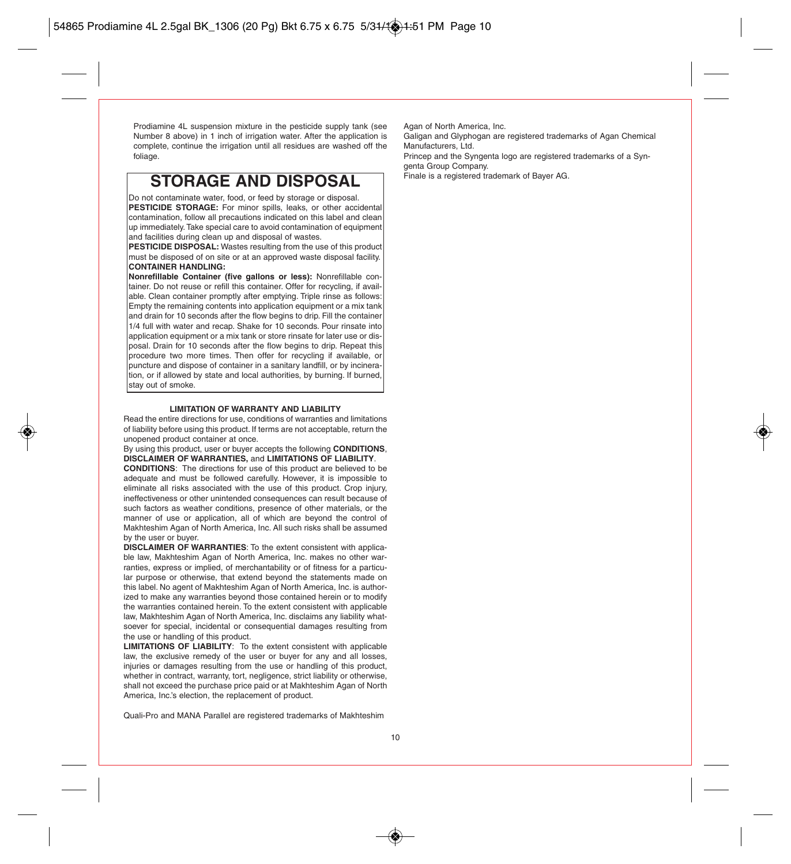Prodiamine 4L suspension mixture in the pesticide supply tank (see Number 8 above) in 1 inch of irrigation water. After the application is complete, continue the irrigation until all residues are washed off the foliage.

## **STORAGE AND DISPOSAL**

Do not contaminate water, food, or feed by storage or disposal.

**PESTICIDE STORAGE:** For minor spills, leaks, or other accidental contamination, follow all precautions indicated on this label and clean up immediately. Take special care to avoid contamination of equipment and facilities during clean up and disposal of wastes.

**PESTICIDE DISPOSAL:** Wastes resulting from the use of this product must be disposed of on site or at an approved waste disposal facility. **CONTAINER HANDLING:** 

**Nonrefillable Container (five gallons or less):** Nonrefillable container. Do not reuse or refill this container. Offer for recycling, if available. Clean container promptly after emptying. Triple rinse as follows: Empty the remaining contents into application equipment or a mix tank and drain for 10 seconds after the flow begins to drip. Fill the container 1/4 full with water and recap. Shake for 10 seconds. Pour rinsate into application equipment or a mix tank or store rinsate for later use or disposal. Drain for 10 seconds after the flow begins to drip. Repeat this procedure two more times. Then offer for recycling if available, or puncture and dispose of container in a sanitary landfill, or by incineration, or if allowed by state and local authorities, by burning. If burned, stay out of smoke.

#### **LIMITATION OF WARRANTY AND LIABILITY**

Read the entire directions for use, conditions of warranties and limitations of liability before using this product. If terms are not acceptable, return the unopened product container at once.

By using this product, user or buyer accepts the following **CONDITIONS**, **DISCLAIMER OF WARRANTIES,** and **LIMITATIONS OF LIABILITY**.

**CONDITIONS**: The directions for use of this product are believed to be adequate and must be followed carefully. However, it is impossible to eliminate all risks associated with the use of this product. Crop injury, ineffectiveness or other unintended consequences can result because of such factors as weather conditions, presence of other materials, or the manner of use or application, all of which are beyond the control of Makhteshim Agan of North America, Inc. All such risks shall be assumed by the user or buyer.

**DISCLAIMER OF WARRANTIES**: To the extent consistent with applicable law, Makhteshim Agan of North America, Inc. makes no other warranties, express or implied, of merchantability or of fitness for a particular purpose or otherwise, that extend beyond the statements made on this label. No agent of Makhteshim Agan of North America, Inc. is authorized to make any warranties beyond those contained herein or to modify the warranties contained herein. To the extent consistent with applicable law, Makhteshim Agan of North America, Inc. disclaims any liability whatsoever for special, incidental or consequential damages resulting from the use or handling of this product.

**LIMITATIONS OF LIABILITY**: To the extent consistent with applicable law, the exclusive remedy of the user or buyer for any and all losses, injuries or damages resulting from the use or handling of this product, whether in contract, warranty, tort, negligence, strict liability or otherwise, shall not exceed the purchase price paid or at Makhteshim Agan of North America, Inc.'s election, the replacement of product.

Quali-Pro and MANA Parallel are registered trademarks of Makhteshim

Agan of North America, Inc.

Galigan and Glyphogan are registered trademarks of Agan Chemical Manufacturers, Ltd.

Princep and the Syngenta logo are registered trademarks of a Syngenta Group Company.<br>Finale is a registered trademark of Bayer AG.